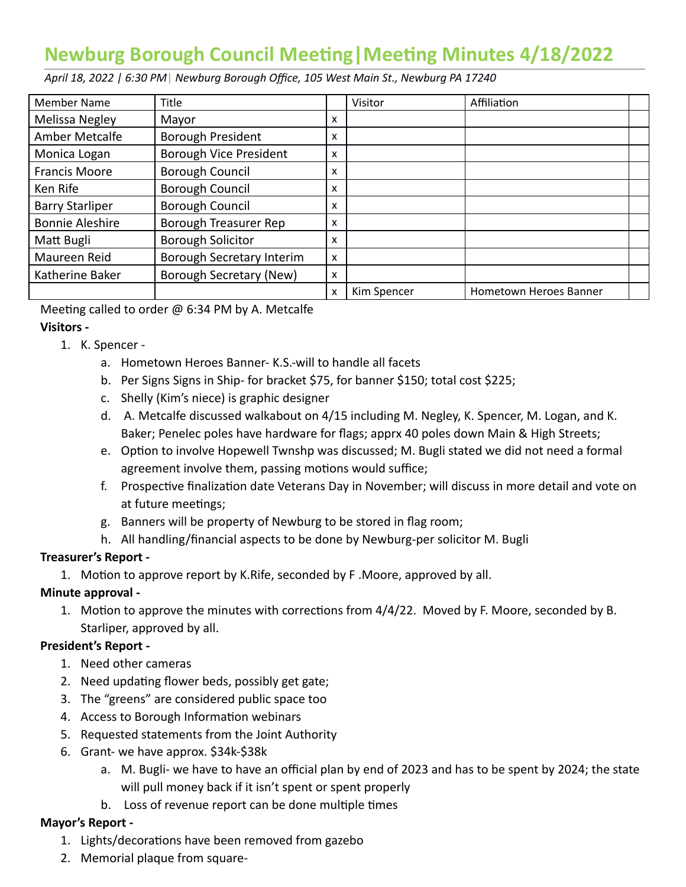# **Newburg Borough Council Meeng|Meeng Minutes 4/18/2022**

 *April 18, 2022 | 6:30 PM* | *Newburg Borough Office, 105 West Main St., Newburg PA 17240* 

| Member Name            | Title                         |   | Visitor     | Affiliation            |  |
|------------------------|-------------------------------|---|-------------|------------------------|--|
| Melissa Negley         | Mayor                         | x |             |                        |  |
| Amber Metcalfe         | <b>Borough President</b>      | x |             |                        |  |
| Monica Logan           | <b>Borough Vice President</b> | x |             |                        |  |
| <b>Francis Moore</b>   | <b>Borough Council</b>        | x |             |                        |  |
| Ken Rife               | <b>Borough Council</b>        | x |             |                        |  |
| <b>Barry Starliper</b> | <b>Borough Council</b>        | x |             |                        |  |
| <b>Bonnie Aleshire</b> | Borough Treasurer Rep         | x |             |                        |  |
| Matt Bugli             | <b>Borough Solicitor</b>      | x |             |                        |  |
| Maureen Reid           | Borough Secretary Interim     | x |             |                        |  |
| Katherine Baker        | Borough Secretary (New)       | x |             |                        |  |
|                        |                               | x | Kim Spencer | Hometown Heroes Banner |  |

Meeting called to order  $\omega$  6:34 PM by A. Metcalfe

# **Visitors -**

- 1. K. Spencer
	- a. Hometown Heroes Banner- K.S.-will to handle all facets
	- b. Per Signs Signs in Ship- for bracket \$75, for banner \$150; total cost \$225;
	- c. Shelly (Kim's niece) is graphic designer
	- d. A. Metcalfe discussed walkabout on 4/15 including M. Negley, K. Spencer, M. Logan, and K. Baker; Penelec poles have hardware for flags; apprx 40 poles down Main & High Streets;
	- e. Option to involve Hopewell Twnshp was discussed; M. Bugli stated we did not need a formal agreement involve them, passing motions would suffice;
	- f. Prospective finalization date Veterans Day in November; will discuss in more detail and vote on at future meetings;
	- g. Banners will be property of Newburg to be stored in flag room;
	- h. All handling/financial aspects to be done by Newburg-per solicitor M. Bugli

#### **Treasurer's Report -**

1. Motion to approve report by K.Rife, seconded by F.Moore, approved by all.

# **Minute approval -**

1. Motion to approve the minutes with corrections from  $4/4/22$ . Moved by F. Moore, seconded by B. Starliper, approved by all.

# **President's Report -**

- 1. Need other cameras
- 2. Need updating flower beds, possibly get gate;
- 3. The "greens" are considered public space too
- 4. Access to Borough Information webinars
- 5. Requested statements from the Joint Authority
- 6. Grant- we have approx. \$34k-\$38k
	- a. M. Bugli- we have to have an official plan by end of 2023 and has to be spent by 2024; the state will pull money back if it isn't spent or spent properly
	- b. Loss of revenue report can be done multiple times

#### **Mayor's Report -**

- 1. Lights/decorations have been removed from gazebo
- 2. Memorial plaque from square-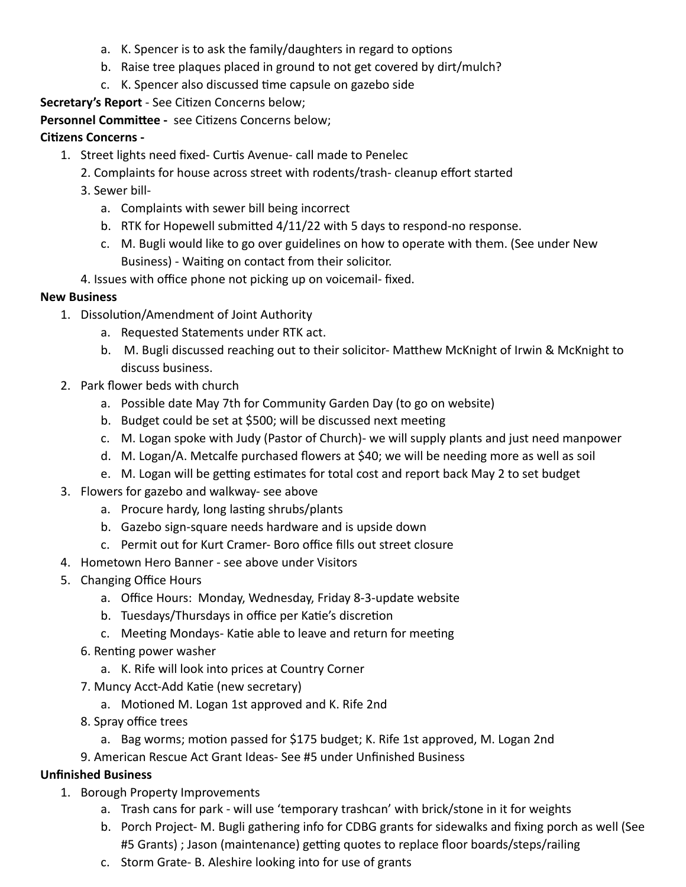- a. K. Spencer is to ask the family/daughters in regard to options
- b. Raise tree plaques placed in ground to not get covered by dirt/mulch?
- c. K. Spencer also discussed time capsule on gazebo side

**Secretary's Report** - See Citizen Concerns below;

Personnel Committee - see Citizens Concerns below;

## **Citizens Concerns -**

- 1. Street lights need fixed- Curtis Avenue- call made to Penelec
	- 2. Complaints for house across street with rodents/trash- cleanup effort started
	- 3. Sewer bill
		- a. Complaints with sewer bill being incorrect
		- b. RTK for Hopewell submitted  $4/11/22$  with 5 days to respond-no response.
		- c. M. Bugli would like to go over guidelines on how to operate with them. (See under New Business) - Waiting on contact from their solicitor.
	- 4. Issues with office phone not picking up on voicemail- fixed.

## **New Business**

- 1. Dissolution/Amendment of Joint Authority
	- a. Requested Statements under RTK act.
	- b. M. Bugli discussed reaching out to their solicitor- Matthew McKnight of Irwin & McKnight to discuss business.
- 2. Park flower beds with church
	- a. Possible date May 7th for Community Garden Day (to go on website)
	- b. Budget could be set at \$500; will be discussed next meeting
	- c. M. Logan spoke with Judy (Pastor of Church)- we will supply plants and just need manpower
	- d. M. Logan/A. Metcalfe purchased flowers at \$40; we will be needing more as well as soil
	- e. M. Logan will be getting estimates for total cost and report back May 2 to set budget
- 3. Flowers for gazebo and walkway- see above
	- a. Procure hardy, long lasting shrubs/plants
	- b. Gazebo sign-square needs hardware and is upside down
	- c. Permit out for Kurt Cramer- Boro office fills out street closure
- 4. Hometown Hero Banner see above under Visitors
- 5. Changing Office Hours
	- a. Office Hours: Monday, Wednesday, Friday 8-3-update website
	- b. Tuesdays/Thursdays in office per Katie's discretion
	- c. Meeting Mondays- Katie able to leave and return for meeting
	- 6. Renting power washer
		- a. K. Rife will look into prices at Country Corner
	- 7. Muncy Acct-Add Katie (new secretary)
		- a. Motioned M. Logan 1st approved and K. Rife 2nd
	- 8. Spray office trees
		- a. Bag worms; motion passed for \$175 budget; K. Rife 1st approved, M. Logan 2nd
	- 9. American Rescue Act Grant Ideas- See #5 under Unfinished Business

# **Unfinished Business**

- 1. Borough Property Improvements
	- a. Trash cans for park will use 'temporary trashcan' with brick/stone in it for weights
	- b. Porch Project- M. Bugli gathering info for CDBG grants for sidewalks and fixing porch as well (See #5 Grants) ; Jason (maintenance) getting quotes to replace floor boards/steps/railing
	- c. Storm Grate- B. Aleshire looking into for use of grants